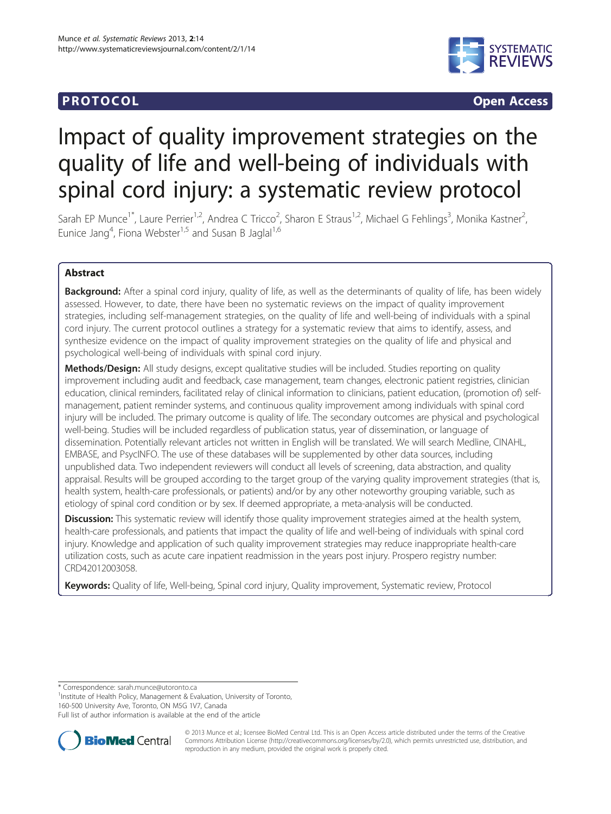## **PROTOCOL CONSUMING CONSUMING CONSUMING CONSUMING CONSUMING CONSUMING CONSUMING CONSUMING CONSUMING CONSUMING CONSUMING CONSUMING CONSUMING CONSUMING CONSUMING CONSUMING CONSUMING CONSUMING CONSUMING CONSUMING CONSUMING**



# Impact of quality improvement strategies on the quality of life and well-being of individuals with spinal cord injury: a systematic review protocol

Sarah EP Munce<sup>1\*</sup>, Laure Perrier<sup>1,2</sup>, Andrea C Tricco<sup>2</sup>, Sharon E Straus<sup>1,2</sup>, Michael G Fehlings<sup>3</sup>, Monika Kastner<sup>2</sup> , Eunice Jang<sup>4</sup>, Fiona Webster<sup>1,5</sup> and Susan B Jaglal<sup>1,6</sup>

## Abstract

Background: After a spinal cord injury, quality of life, as well as the determinants of quality of life, has been widely assessed. However, to date, there have been no systematic reviews on the impact of quality improvement strategies, including self-management strategies, on the quality of life and well-being of individuals with a spinal cord injury. The current protocol outlines a strategy for a systematic review that aims to identify, assess, and synthesize evidence on the impact of quality improvement strategies on the quality of life and physical and psychological well-being of individuals with spinal cord injury.

Methods/Design: All study designs, except qualitative studies will be included. Studies reporting on quality improvement including audit and feedback, case management, team changes, electronic patient registries, clinician education, clinical reminders, facilitated relay of clinical information to clinicians, patient education, (promotion of) selfmanagement, patient reminder systems, and continuous quality improvement among individuals with spinal cord injury will be included. The primary outcome is quality of life. The secondary outcomes are physical and psychological well-being. Studies will be included regardless of publication status, year of dissemination, or language of dissemination. Potentially relevant articles not written in English will be translated. We will search Medline, CINAHL, EMBASE, and PsycINFO. The use of these databases will be supplemented by other data sources, including unpublished data. Two independent reviewers will conduct all levels of screening, data abstraction, and quality appraisal. Results will be grouped according to the target group of the varying quality improvement strategies (that is, health system, health-care professionals, or patients) and/or by any other noteworthy grouping variable, such as etiology of spinal cord condition or by sex. If deemed appropriate, a meta-analysis will be conducted.

Discussion: This systematic review will identify those quality improvement strategies aimed at the health system, health-care professionals, and patients that impact the quality of life and well-being of individuals with spinal cord injury. Knowledge and application of such quality improvement strategies may reduce inappropriate health-care utilization costs, such as acute care inpatient readmission in the years post injury. Prospero registry number: CRD42012003058.

Keywords: Quality of life, Well-being, Spinal cord injury, Quality improvement, Systematic review, Protocol

\* Correspondence: [sarah.munce@utoronto.ca](mailto:sarah.munce@utoronto.ca) <sup>1</sup>

<sup>1</sup>Institute of Health Policy, Management & Evaluation, University of Toronto, 160-500 University Ave, Toronto, ON M5G 1V7, Canada

Full list of author information is available at the end of the article



© 2013 Munce et al.; licensee BioMed Central Ltd. This is an Open Access article distributed under the terms of the Creative Commons Attribution License [\(http://creativecommons.org/licenses/by/2.0\)](http://creativecommons.org/licenses/by/2.0), which permits unrestricted use, distribution, and reproduction in any medium, provided the original work is properly cited.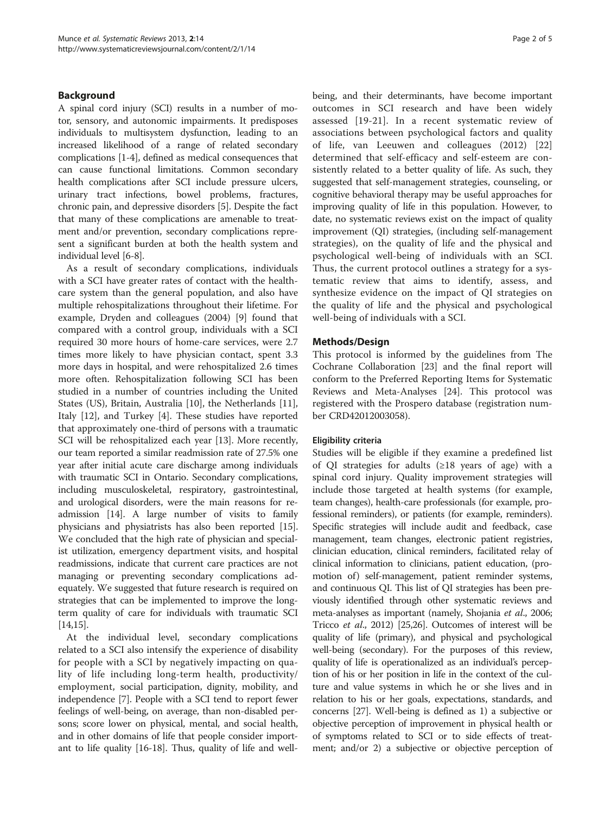## Background

A spinal cord injury (SCI) results in a number of motor, sensory, and autonomic impairments. It predisposes individuals to multisystem dysfunction, leading to an increased likelihood of a range of related secondary complications [\[1](#page-3-0)-[4](#page-3-0)], defined as medical consequences that can cause functional limitations. Common secondary health complications after SCI include pressure ulcers, urinary tract infections, bowel problems, fractures, chronic pain, and depressive disorders [\[5](#page-3-0)]. Despite the fact that many of these complications are amenable to treatment and/or prevention, secondary complications represent a significant burden at both the health system and individual level [[6](#page-3-0)-[8\]](#page-3-0).

As a result of secondary complications, individuals with a SCI have greater rates of contact with the healthcare system than the general population, and also have multiple rehospitalizations throughout their lifetime. For example, Dryden and colleagues (2004) [[9\]](#page-3-0) found that compared with a control group, individuals with a SCI required 30 more hours of home-care services, were 2.7 times more likely to have physician contact, spent 3.3 more days in hospital, and were rehospitalized 2.6 times more often. Rehospitalization following SCI has been studied in a number of countries including the United States (US), Britain, Australia [\[10](#page-3-0)], the Netherlands [\[11](#page-3-0)], Italy [[12\]](#page-3-0), and Turkey [\[4](#page-3-0)]. These studies have reported that approximately one-third of persons with a traumatic SCI will be rehospitalized each year [[13\]](#page-3-0). More recently, our team reported a similar readmission rate of 27.5% one year after initial acute care discharge among individuals with traumatic SCI in Ontario. Secondary complications, including musculoskeletal, respiratory, gastrointestinal, and urological disorders, were the main reasons for readmission [\[14\]](#page-3-0). A large number of visits to family physicians and physiatrists has also been reported [[15](#page-4-0)]. We concluded that the high rate of physician and specialist utilization, emergency department visits, and hospital readmissions, indicate that current care practices are not managing or preventing secondary complications adequately. We suggested that future research is required on strategies that can be implemented to improve the longterm quality of care for individuals with traumatic SCI  $|14,15|$  $|14,15|$  $|14,15|$  $|14,15|$ .

At the individual level, secondary complications related to a SCI also intensify the experience of disability for people with a SCI by negatively impacting on quality of life including long-term health, productivity/ employment, social participation, dignity, mobility, and independence [\[7](#page-3-0)]. People with a SCI tend to report fewer feelings of well-being, on average, than non-disabled persons; score lower on physical, mental, and social health, and in other domains of life that people consider important to life quality [\[16-18](#page-4-0)]. Thus, quality of life and wellbeing, and their determinants, have become important outcomes in SCI research and have been widely assessed [\[19-21](#page-4-0)]. In a recent systematic review of associations between psychological factors and quality of life, van Leeuwen and colleagues (2012) [\[22](#page-4-0)] determined that self-efficacy and self-esteem are consistently related to a better quality of life. As such, they suggested that self-management strategies, counseling, or cognitive behavioral therapy may be useful approaches for improving quality of life in this population. However, to date, no systematic reviews exist on the impact of quality improvement (QI) strategies, (including self-management strategies), on the quality of life and the physical and psychological well-being of individuals with an SCI. Thus, the current protocol outlines a strategy for a systematic review that aims to identify, assess, and synthesize evidence on the impact of QI strategies on the quality of life and the physical and psychological well-being of individuals with a SCI.

## Methods/Design

This protocol is informed by the guidelines from The Cochrane Collaboration [[23](#page-4-0)] and the final report will conform to the Preferred Reporting Items for Systematic Reviews and Meta-Analyses [[24\]](#page-4-0). This protocol was registered with the Prospero database (registration number CRD42012003058).

#### Eligibility criteria

Studies will be eligible if they examine a predefined list of QI strategies for adults  $(\geq 18$  years of age) with a spinal cord injury. Quality improvement strategies will include those targeted at health systems (for example, team changes), health-care professionals (for example, professional reminders), or patients (for example, reminders). Specific strategies will include audit and feedback, case management, team changes, electronic patient registries, clinician education, clinical reminders, facilitated relay of clinical information to clinicians, patient education, (promotion of) self-management, patient reminder systems, and continuous QI. This list of QI strategies has been previously identified through other systematic reviews and meta-analyses as important (namely, Shojania et al., 2006; Tricco et al., 2012) [[25,26\]](#page-4-0). Outcomes of interest will be quality of life (primary), and physical and psychological well-being (secondary). For the purposes of this review, quality of life is operationalized as an individual's perception of his or her position in life in the context of the culture and value systems in which he or she lives and in relation to his or her goals, expectations, standards, and concerns [\[27\]](#page-4-0). Well-being is defined as 1) a subjective or objective perception of improvement in physical health or of symptoms related to SCI or to side effects of treatment; and/or 2) a subjective or objective perception of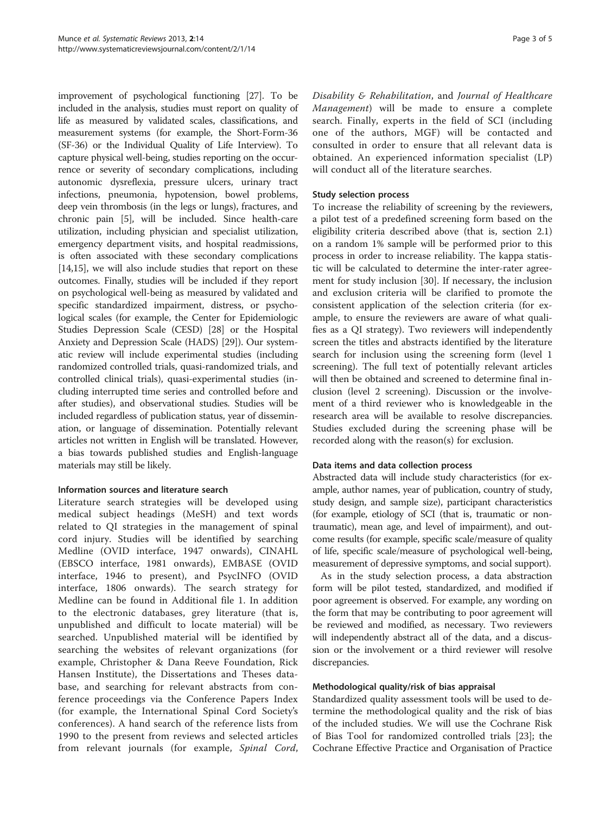improvement of psychological functioning [\[27\]](#page-4-0). To be included in the analysis, studies must report on quality of life as measured by validated scales, classifications, and measurement systems (for example, the Short-Form-36 (SF-36) or the Individual Quality of Life Interview). To capture physical well-being, studies reporting on the occurrence or severity of secondary complications, including autonomic dysreflexia, pressure ulcers, urinary tract infections, pneumonia, hypotension, bowel problems, deep vein thrombosis (in the legs or lungs), fractures, and chronic pain [[5\]](#page-3-0), will be included. Since health-care utilization, including physician and specialist utilization, emergency department visits, and hospital readmissions, is often associated with these secondary complications [[14](#page-3-0)[,15](#page-4-0)], we will also include studies that report on these outcomes. Finally, studies will be included if they report on psychological well-being as measured by validated and specific standardized impairment, distress, or psychological scales (for example, the Center for Epidemiologic Studies Depression Scale (CESD) [\[28\]](#page-4-0) or the Hospital Anxiety and Depression Scale (HADS) [\[29\]](#page-4-0)). Our systematic review will include experimental studies (including randomized controlled trials, quasi-randomized trials, and controlled clinical trials), quasi-experimental studies (including interrupted time series and controlled before and after studies), and observational studies. Studies will be included regardless of publication status, year of dissemination, or language of dissemination. Potentially relevant articles not written in English will be translated. However, a bias towards published studies and English-language materials may still be likely.

## Information sources and literature search

Literature search strategies will be developed using medical subject headings (MeSH) and text words related to QI strategies in the management of spinal cord injury. Studies will be identified by searching Medline (OVID interface, 1947 onwards), CINAHL (EBSCO interface, 1981 onwards), EMBASE (OVID interface, 1946 to present), and PsycINFO (OVID interface, 1806 onwards). The search strategy for Medline can be found in Additional file [1](#page-3-0). In addition to the electronic databases, grey literature (that is, unpublished and difficult to locate material) will be searched. Unpublished material will be identified by searching the websites of relevant organizations (for example, Christopher & Dana Reeve Foundation, Rick Hansen Institute), the Dissertations and Theses database, and searching for relevant abstracts from conference proceedings via the Conference Papers Index (for example, the International Spinal Cord Society's conferences). A hand search of the reference lists from 1990 to the present from reviews and selected articles from relevant journals (for example, Spinal Cord, Disability & Rehabilitation, and Journal of Healthcare Management) will be made to ensure a complete search. Finally, experts in the field of SCI (including one of the authors, MGF) will be contacted and consulted in order to ensure that all relevant data is obtained. An experienced information specialist (LP) will conduct all of the literature searches.

### Study selection process

To increase the reliability of screening by the reviewers, a pilot test of a predefined screening form based on the eligibility criteria described above (that is, section 2.1) on a random 1% sample will be performed prior to this process in order to increase reliability. The kappa statistic will be calculated to determine the inter-rater agreement for study inclusion [\[30\]](#page-4-0). If necessary, the inclusion and exclusion criteria will be clarified to promote the consistent application of the selection criteria (for example, to ensure the reviewers are aware of what qualifies as a QI strategy). Two reviewers will independently screen the titles and abstracts identified by the literature search for inclusion using the screening form (level 1 screening). The full text of potentially relevant articles will then be obtained and screened to determine final inclusion (level 2 screening). Discussion or the involvement of a third reviewer who is knowledgeable in the research area will be available to resolve discrepancies. Studies excluded during the screening phase will be recorded along with the reason(s) for exclusion.

## Data items and data collection process

Abstracted data will include study characteristics (for example, author names, year of publication, country of study, study design, and sample size), participant characteristics (for example, etiology of SCI (that is, traumatic or nontraumatic), mean age, and level of impairment), and outcome results (for example, specific scale/measure of quality of life, specific scale/measure of psychological well-being, measurement of depressive symptoms, and social support).

As in the study selection process, a data abstraction form will be pilot tested, standardized, and modified if poor agreement is observed. For example, any wording on the form that may be contributing to poor agreement will be reviewed and modified, as necessary. Two reviewers will independently abstract all of the data, and a discussion or the involvement or a third reviewer will resolve discrepancies.

## Methodological quality/risk of bias appraisal

Standardized quality assessment tools will be used to determine the methodological quality and the risk of bias of the included studies. We will use the Cochrane Risk of Bias Tool for randomized controlled trials [[23\]](#page-4-0); the Cochrane Effective Practice and Organisation of Practice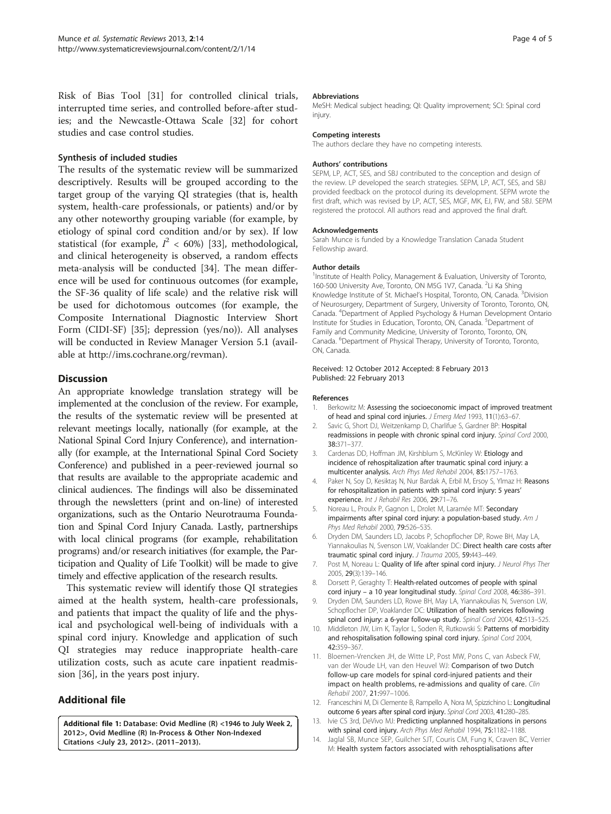<span id="page-3-0"></span>Risk of Bias Tool [[31\]](#page-4-0) for controlled clinical trials, interrupted time series, and controlled before-after studies; and the Newcastle-Ottawa Scale [[32\]](#page-4-0) for cohort studies and case control studies.

#### Synthesis of included studies

The results of the systematic review will be summarized descriptively. Results will be grouped according to the target group of the varying QI strategies (that is, health system, health-care professionals, or patients) and/or by any other noteworthy grouping variable (for example, by etiology of spinal cord condition and/or by sex). If low statistical (for example,  $I^2 < 60\%$ ) [\[33](#page-4-0)], methodological, and clinical heterogeneity is observed, a random effects meta-analysis will be conducted [[34\]](#page-4-0). The mean difference will be used for continuous outcomes (for example, the SF-36 quality of life scale) and the relative risk will be used for dichotomous outcomes (for example, the Composite International Diagnostic Interview Short Form (CIDI-SF) [[35\]](#page-4-0); depression (yes/no)). All analyses will be conducted in Review Manager Version 5.1 (available at<http://ims.cochrane.org/revman>).

## **Discussion**

An appropriate knowledge translation strategy will be implemented at the conclusion of the review. For example, the results of the systematic review will be presented at relevant meetings locally, nationally (for example, at the National Spinal Cord Injury Conference), and internationally (for example, at the International Spinal Cord Society Conference) and published in a peer-reviewed journal so that results are available to the appropriate academic and clinical audiences. The findings will also be disseminated through the newsletters (print and on-line) of interested organizations, such as the Ontario Neurotrauma Foundation and Spinal Cord Injury Canada. Lastly, partnerships with local clinical programs (for example, rehabilitation programs) and/or research initiatives (for example, the Participation and Quality of Life Toolkit) will be made to give timely and effective application of the research results.

This systematic review will identify those QI strategies aimed at the health system, health-care professionals, and patients that impact the quality of life and the physical and psychological well-being of individuals with a spinal cord injury. Knowledge and application of such QI strategies may reduce inappropriate health-care utilization costs, such as acute care inpatient readmission [[36\]](#page-4-0), in the years post injury.

## Additional file

[Additional file 1:](http://www.biomedcentral.com/content/supplementary/2046-4053-2-14-S1.pdf) Database: Ovid Medline (R) <1946 to July Week 2, 2012>, Ovid Medline (R) In-Process & Other Non-Indexed Citations <July 23, 2012>. (2011–2013).

#### Abbreviations

MeSH: Medical subject heading; QI: Quality improvement; SCI: Spinal cord injury.

#### Competing interests

The authors declare they have no competing interests.

#### Authors' contributions

SEPM, LP, ACT, SES, and SBJ contributed to the conception and design of the review. LP developed the search strategies. SEPM, LP, ACT, SES, and SBJ provided feedback on the protocol during its development. SEPM wrote the first draft, which was revised by LP, ACT, SES, MGF, MK, EJ, FW, and SBJ. SEPM registered the protocol. All authors read and approved the final draft.

#### Acknowledgements

Sarah Munce is funded by a Knowledge Translation Canada Student Fellowship award.

#### Author details

<sup>1</sup>Institute of Health Policy, Management & Evaluation, University of Toronto 160-500 University Ave, Toronto, ON M5G 1V7, Canada. <sup>2</sup>Li Ka Shing Knowledge Institute of St. Michael's Hospital, Toronto, ON, Canada. <sup>3</sup>Division of Neurosurgery, Department of Surgery, University of Toronto, Toronto, ON, Canada. <sup>4</sup> Department of Applied Psychology & Human Development Ontario Institute for Studies in Education, Toronto, ON, Canada. <sup>5</sup>Department of Family and Community Medicine, University of Toronto, Toronto, ON, Canada. <sup>6</sup> Department of Physical Therapy, University of Toronto, Toronto, ON, Canada.

#### Received: 12 October 2012 Accepted: 8 February 2013 Published: 22 February 2013

#### References

- 1. Berkowitz M: Assessing the socioeconomic impact of improved treatment of head and spinal cord injuries. J Emerg Med 1993, 11(1):63–67.
- 2. Savic G, Short DJ, Weitzenkamp D, Charlifue S, Gardner BP: Hospital readmissions in people with chronic spinal cord injury. Spinal Cord 2000, 38:371–377.
- 3. Cardenas DD, Hoffman JM, Kirshblum S, McKinley W: Etiology and incidence of rehospitalization after traumatic spinal cord injury: a multicenter analysis. Arch Phys Med Rehabil 2004, 85:1757–1763.
- 4. Paker N, Soy D, Kesiktaş N, Nur Bardak A, Erbil M, Ersoy S, Ylmaz H: Reasons for rehospitalization in patients with spinal cord injury: 5 years' experience. Int J Rehabil Res 2006, 29:71–76.
- 5. Noreau L, Proulx P, Gagnon L, Drolet M, Laramée MT: Secondary impairments after spinal cord injury: a population-based study. Am J Phys Med Rehabil 2000, 79:526–535.
- 6. Dryden DM, Saunders LD, Jacobs P, Schopflocher DP, Rowe BH, May LA, Yiannakoulias N, Svenson LW, Voaklander DC: Direct health care costs after traumatic spinal cord injury. J Trauma 2005, 59:443-449.
- 7. Post M, Noreau L: Quality of life after spinal cord injury. J Neurol Phys Ther 2005, 29(3):139–146.
- 8. Dorsett P, Geraghty T: Health-related outcomes of people with spinal cord injury – a 10 year longitudinal study. Spinal Cord 2008, 46:386–391.
- Dryden DM, Saunders LD, Rowe BH, May LA, Yiannakoulias N, Svenson LW, Schopflocher DP, Voaklander DC: Utilization of health services following spinal cord injury: a 6-year follow-up study. Spinal Cord 2004, 42:513–525.
- 10. Middleton JW, Lim K, Taylor L, Soden R, Rutkowski S: Patterns of morbidity and rehospitalisation following spinal cord injury. Spinal Cord 2004, 42:359–367.
- 11. Bloemen-Vrencken JH, de Witte LP, Post MW, Pons C, van Asbeck FW, van der Woude LH, van den Heuvel WJ: Comparison of two Dutch follow-up care models for spinal cord-injured patients and their impact on health problems, re-admissions and quality of care. Clin Rehabil 2007, 21:997–1006.
- 12. Franceschini M, Di Clemente B, Rampello A, Nora M, Spizzichino L: Longitudinal outcome 6 years after spinal cord injury. Spinal Cord 2003, 41:280–285.
- 13. Ivie CS 3rd, DeVivo MJ: Predicting unplanned hospitalizations in persons with spinal cord injury. Arch Phys Med Rehabil 1994, 75:1182–1188.
- 14. Jaglal SB, Munce SEP, Guilcher SJT, Couris CM, Fung K, Craven BC, Verrier M: Health system factors associated with rehosptialisations after